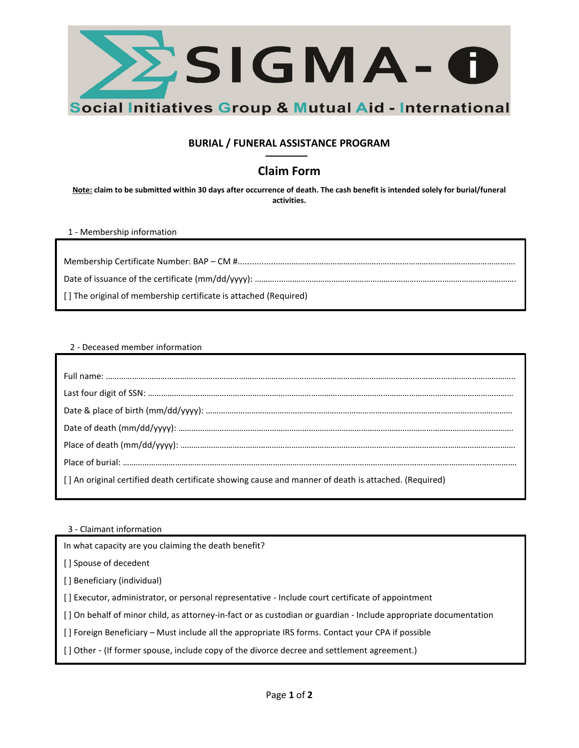

## **BURIAL / FUNERAL ASSISTANCE PROGRAM**

## **Claim Form**

**Note: claim to be submitted within 30 days after occurrence of death. The cash benefit is intended solely for burial/funeral activities.** 

1 - Membership information

Membership Certificate Number: BAP – CM #.................………………………………………………………………………………………………. Date of issuance of the certificate (mm/dd/yyyy): ………..………………………………………………………………………………………………. [ ] The original of membership certificate is attached (Required)

## 2 - Deceased member information

| [] An original certified death certificate showing cause and manner of death is attached. (Required) |
|------------------------------------------------------------------------------------------------------|
|                                                                                                      |

3 - Claimant information

In what capacity are you claiming the death benefit?

[] Spouse of decedent

[ ] Beneficiary (individual)

[ ] Executor, administrator, or personal representative - Include court certificate of appointment

[ ] On behalf of minor child, as attorney-in-fact or as custodian or guardian - Include appropriate documentation

[ ] Foreign Beneficiary – Must include all the appropriate IRS forms. Contact your CPA if possible

[ ] Other - (If former spouse, include copy of the divorce decree and settlement agreement.)